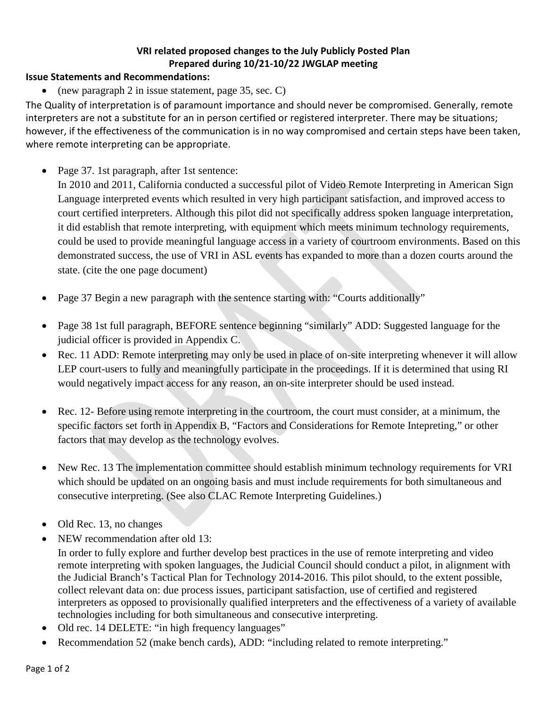## **VRI related proposed changes to the July Publicly Posted Plan Prepared during 10/21-10/22 JWGLAP meeting**

## **Issue Statements and Recommendations:**

• (new paragraph 2 in issue statement, page 35, sec. C)

The Quality of interpretation is of paramount importance and should never be compromised. Generally, remote interpreters are not a substitute for an in person certified or registered interpreter. There may be situations; however, if the effectiveness of the communication is in no way compromised and certain steps have been taken, where remote interpreting can be appropriate.

• Page 37. 1st paragraph, after 1st sentence:

In 2010 and 2011, California conducted a successful pilot of Video Remote Interpreting in American Sign Language interpreted events which resulted in very high participant satisfaction, and improved access to court certified interpreters. Although this pilot did not specifically address spoken language interpretation, it did establish that remote interpreting, with equipment which meets minimum technology requirements, could be used to provide meaningful language access in a variety of courtroom environments. Based on this demonstrated success, the use of VRI in ASL events has expanded to more than a dozen courts around the state. (cite the one page document)

- Page 37 Begin a new paragraph with the sentence starting with: "Courts additionally"
- Page 38 1st full paragraph, BEFORE sentence beginning "similarly" ADD: Suggested language for the judicial officer is provided in Appendix C.
- Rec. 11 ADD: Remote interpreting may only be used in place of on-site interpreting whenever it will allow LEP court-users to fully and meaningfully participate in the proceedings. If it is determined that using RI would negatively impact access for any reason, an on-site interpreter should be used instead.
- Rec. 12- Before using remote interpreting in the courtroom, the court must consider, at a minimum, the specific factors set forth in Appendix B, "Factors and Considerations for Remote Intepreting," or other factors that may develop as the technology evolves.
- New Rec. 13 The implementation committee should establish minimum technology requirements for VRI which should be updated on an ongoing basis and must include requirements for both simultaneous and consecutive interpreting. (See also CLAC Remote Interpreting Guidelines.)
- Old Rec. 13, no changes
- NEW recommendation after old 13:

In order to fully explore and further develop best practices in the use of remote interpreting and video remote interpreting with spoken languages, the Judicial Council should conduct a pilot, in alignment with the Judicial Branch's Tactical Plan for Technology 2014-2016. This pilot should, to the extent possible, collect relevant data on: due process issues, participant satisfaction, use of certified and registered interpreters as opposed to provisionally qualified interpreters and the effectiveness of a variety of available technologies including for both simultaneous and consecutive interpreting.

- Old rec. 14 DELETE: "in high frequency languages"
- Recommendation 52 (make bench cards), ADD: "including related to remote interpreting."